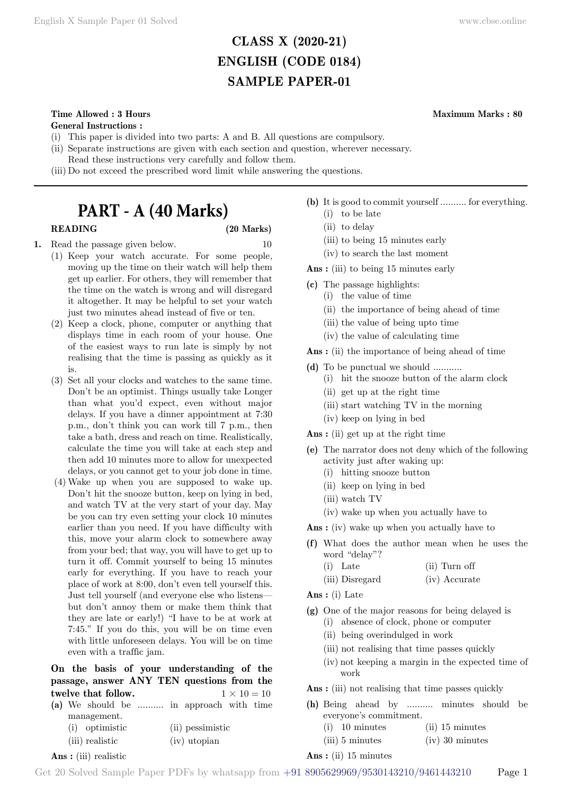# **CLASS X (2020-21) ENGLISH (CODE 0184) SAMPLE PAPER-01**

# **Time Allowed : 3 Hours Maximum Marks : 80**

### **General Instructions :**

- (i) This paper is divided into two parts: A and B. All questions are compulsory.
- (ii) Separate instructions are given with each section and question, wherever necessary.
- Read these instructions very carefully and follow them.
- (iii) Do not exceed the prescribed word limit while answering the questions.

# **PART - A (40 Marks)**

# **READING (20 Marks)**

- **1.** Read the passage given below. 10 (1) Keep your watch accurate. For some people, moving up the time on their watch will help them get up earlier. For others, they will remember that the time on the watch is wrong and will disregard it altogether. It may be helpful to set your watch just two minutes ahead instead of five or ten.
	- (2) Keep a clock, phone, computer or anything that displays time in each room of your house. One of the easiest ways to run late is simply by not realising that the time is passing as quickly as it is.
	- (3) Set all your clocks and watches to the same time. Don't be an optimist. Things usually take Longer than what you'd expect, even without major delays. If you have a dinner appointment at 7:30 p.m., don't think you can work till 7 p.m., then take a bath, dress and reach on time. Realistically, calculate the time you will take at each step and then add 10 minutes more to allow for unexpected delays, or you cannot get to your job done in time.
	- (4) Wake up when you are supposed to wake up. Don't hit the snooze button, keep on lying in bed, and watch TV at the very start of your day. May be you can try even setting your clock 10 minutes earlier than you need. If you have difficulty with this, move your alarm clock to somewhere away from your bed; that way, you will have to get up to turn it off. Commit yourself to being 15 minutes early for everything. If you have to reach your place of work at 8:00, don't even tell yourself this. Just tell yourself (and everyone else who listens but don't annoy them or make them think that they are late or early!) "I have to be at work at 7:45." If you do this, you will be on time even with little unforeseen delays. You will be on time even with a traffic jam.

**On the basis of your understanding of the passage, answer ANY TEN questions from the twelve that follow.**  $1 \times 10 = 10$ 

|  |                 |  | (a) We should be  in approach with time |  |
|--|-----------------|--|-----------------------------------------|--|
|  | management.     |  |                                         |  |
|  | (i) optimistic  |  | (ii) pessimistic                        |  |
|  | (iii) realistic |  | (iv) utopian                            |  |

 **Ans :** (iii) realistic

**(b)** It is good to commit yourself .......... for everything. (i) to be late

- (ii) to delay
- (iii) to being 15 minutes early
- (iv) to search the last moment

 **Ans :** (iii) to being 15 minutes early

- **(c)** The passage highlights:
	- (i) the value of time
	- (ii) the importance of being ahead of time
	- (iii) the value of being upto time
	- (iv) the value of calculating time

 **Ans :** (ii) the importance of being ahead of time

- **(d)** To be punctual we should ...........
	- (i) hit the snooze button of the alarm clock
	- (ii) get up at the right time
	- (iii) start watching TV in the morning
	- (iv) keep on lying in bed

 **Ans :** (ii) get up at the right time

- **(e)** The narrator does not deny which of the following activity just after waking up:
	- (i) hitting snooze button
	- (ii) keep on lying in bed
	- (iii) watch TV
	- (iv) wake up when you actually have to

 **Ans :** (iv) wake up when you actually have to

- **(f)** What does the author mean when he uses the word "delay"?
	- (i) Late (ii) Turn off
	- (iii) Disregard (iv) Accurate

 **Ans :** (i) Late

- **(g)** One of the major reasons for being delayed is (i) absence of clock, phone or computer
	- (ii) being overindulged in work
	- (iii) not realising that time passes quickly
	- (iv) not keeping a margin in the expected time of work

Ans : (iii) not realising that time passes quickly

- **(h)** Being ahead by .......... minutes should be everyone's commitment.
	- (i) 10 minutes (ii) 15 minutes
		- (iii) 5 minutes (iv) 30 minutes

### **Ans :** (ii) 15 minutes

Get 20 Solved Sample Paper PDFs by whatsapp from  $+91\,8905629969/9530143210/9461443210$  Page 1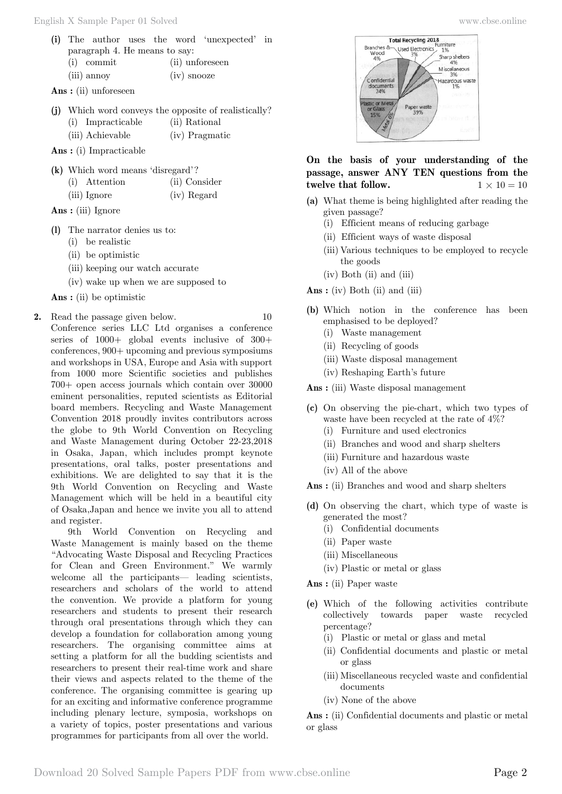**Ans :** (ii) unforeseen

|  |                   | (j) Which word conveys the opposite of realistically? |
|--|-------------------|-------------------------------------------------------|
|  | (i) Impracticable | (ii) Rational                                         |
|  | (iii) Achievable  | (iv) Pragmatic                                        |

 **Ans :** (i) Impracticable

- **(k)** Which word means 'disregard'?
	- (i) Attention (ii) Consider
	- (iii) Ignore (iv) Regard
- **Ans :** (iii) Ignore
- **(l)** The narrator denies us to:
	- (i) be realistic
	- (ii) be optimistic
	- (iii) keeping our watch accurate
	- (iv) wake up when we are supposed to

 **Ans :** (ii) be optimistic

**2.** Read the passage given below. 10 Conference series LLC Ltd organises a conference series of 1000+ global events inclusive of 300+ conferences, 900+ upcoming and previous symposiums and workshops in USA, Europe and Asia with support from 1000 more Scientific societies and publishes 700+ open access journals which contain over 30000 eminent personalities, reputed scientists as Editorial board members. Recycling and Waste Management Convention 2018 proudly invites contributors across the globe to 9th World Convention on Recycling and Waste Management during October 22-23,2018 in Osaka, Japan, which includes prompt keynote presentations, oral talks, poster presentations and exhibitions. We are delighted to say that it is the 9th World Convention on Recycling and Waste Management which will be held in a beautiful city of Osaka,Japan and hence we invite you all to attend and register.

9th World Convention on Recycling and Waste Management is mainly based on the theme "Advocating Waste Disposal and Recycling Practices for Clean and Green Environment." We warmly welcome all the participants— leading scientists, researchers and scholars of the world to attend the convention. We provide a platform for young researchers and students to present their research through oral presentations through which they can develop a foundation for collaboration among young researchers. The organising committee aims at setting a platform for all the budding scientists and researchers to present their real-time work and share their views and aspects related to the theme of the conference. The organising committee is gearing up for an exciting and informative conference programme including plenary lecture, symposia, workshops on a variety of topics, poster presentations and various programmes for participants from all over the world.



# **On the basis of your understanding of the passage, answer ANY TEN questions from the twelve that follow.**  $1 \times 10 = 10$

- **(a)** What theme is being highlighted after reading the given passage?
	- (i) Efficient means of reducing garbage
	- (ii) Efficient ways of waste disposal
	- (iii) Various techniques to be employed to recycle the goods
	- (iv) Both (ii) and (iii)

 **Ans :** (iv) Both (ii) and (iii)

- **(b)** Which notion in the conference has been emphasised to be deployed?
	- (i) Waste management
	- (ii) Recycling of goods
	- (iii) Waste disposal management
	- (iv) Reshaping Earth's future

 **Ans :** (iii) Waste disposal management

- **(c)** On observing the pie-chart, which two types of waste have been recycled at the rate of 4%?
	- (i) Furniture and used electronics
	- (ii) Branches and wood and sharp shelters
	- (iii) Furniture and hazardous waste
	- (iv) All of the above

 **Ans :** (ii) Branches and wood and sharp shelters

- **(d)** On observing the chart, which type of waste is generated the most?
	- (i) Confidential documents
	- (ii) Paper waste
	- (iii) Miscellaneous
	- (iv) Plastic or metal or glass

 **Ans :** (ii) Paper waste

- **(e)** Which of the following activities contribute collectively towards paper waste recycled percentage?
	- (i) Plastic or metal or glass and metal
	- (ii) Confidential documents and plastic or metal or glass
	- (iii) Miscellaneous recycled waste and confidential documents
	- (iv) None of the above

 **Ans :** (ii) Confidential documents and plastic or metal or glass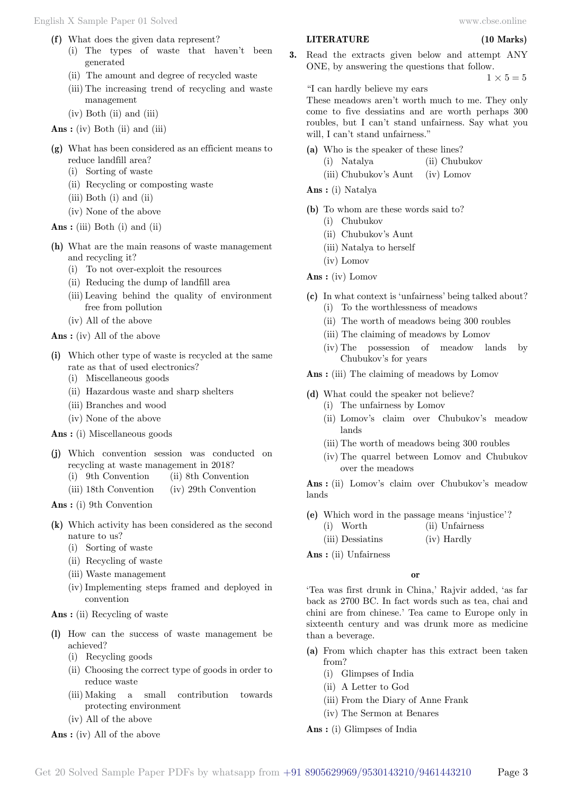- **(f)** What does the given data represent?
	- (i) The types of waste that haven't been generated
	- (ii) The amount and degree of recycled waste
	- (iii) The increasing trend of recycling and waste management
	- (iv) Both (ii) and (iii)
- **Ans :** (iv) Both (ii) and (iii)
- **(g)** What has been considered as an efficient means to reduce landfill area?
	- (i) Sorting of waste
	- (ii) Recycling or composting waste
	- (iii) Both (i) and (ii)
	- (iv) None of the above

 **Ans :** (iii) Both (i) and (ii)

- **(h)** What are the main reasons of waste management and recycling it?
	- (i) To not over-exploit the resources
	- (ii) Reducing the dump of landfill area
	- (iii) Leaving behind the quality of environment free from pollution
	- (iv) All of the above

 **Ans :** (iv) All of the above

- **(i)** Which other type of waste is recycled at the same rate as that of used electronics?
	- (i) Miscellaneous goods
	- (ii) Hazardous waste and sharp shelters
	- (iii) Branches and wood
	- (iv) None of the above

 **Ans :** (i) Miscellaneous goods

- **(j)** Which convention session was conducted on recycling at waste management in 2018?
	- (i) 9th Convention (ii) 8th Convention
	- (iii) 18th Convention (iv) 29th Convention

 **Ans :** (i) 9th Convention

- **(k)** Which activity has been considered as the second nature to us?
	- (i) Sorting of waste
	- (ii) Recycling of waste
	- (iii) Waste management
	- (iv) Implementing steps framed and deployed in convention

 **Ans :** (ii) Recycling of waste

- **(l)** How can the success of waste management be achieved?
	- (i) Recycling goods
	- (ii) Choosing the correct type of goods in order to reduce waste
	- (iii) Making a small contribution towards protecting environment
	- (iv) All of the above

 **Ans :** (iv) All of the above

# **LITERATURE (10 Marks)**

**3.** Read the extracts given below and attempt ANY ONE, by answering the questions that follow.  $1 \times 5 = 5$ 

"I can hardly believe my ears

These meadows aren't worth much to me. They only come to five dessiatins and are worth perhaps 300 roubles, but I can't stand unfairness. Say what you will, I can't stand unfairness."

- **(a)** Who is the speaker of these lines?
	- (i) Natalya (ii) Chubukov
	- (iii) Chubukov's Aunt (iv) Lomov
- **Ans :** (i) Natalya
- **(b)** To whom are these words said to?
	- (i) Chubukov
	- (ii) Chubukov's Aunt
	- (iii) Natalya to herself
	- (iv) Lomov
- **Ans :** (iv) Lomov
- **(c)** In what context is 'unfairness' being talked about?
	- (i) To the worthlessness of meadows
	- (ii) The worth of meadows being 300 roubles
	- (iii) The claiming of meadows by Lomov
	- (iv) The possession of meadow lands by Chubukov's for years
- **Ans :** (iii) The claiming of meadows by Lomov
- **(d)** What could the speaker not believe?
	- (i) The unfairness by Lomov
	- (ii) Lomov's claim over Chubukov's meadow lands
	- (iii) The worth of meadows being 300 roubles
	- (iv) The quarrel between Lomov and Chubukov over the meadows

 **Ans :** (ii) Lomov's claim over Chubukov's meadow lands

- **(e)** Which word in the passage means 'injustice'? (i) Worth (ii) Unfairness
	- (iii) Dessiatins (iv) Hardly
- **Ans :** (ii) Unfairness

### **o**

'Tea was first drunk in China,' Rajvir added, 'as far back as 2700 BC. In fact words such as tea, chai and chini are from chinese.' Tea came to Europe only in sixteenth century and was drunk more as medicine than a beverage.

- **(a)** From which chapter has this extract been taken from?
	- (i) Glimpses of India
	- (ii) A Letter to God
	- (iii) From the Diary of Anne Frank
	- (iv) The Sermon at Benares
- **Ans :** (i) Glimpses of India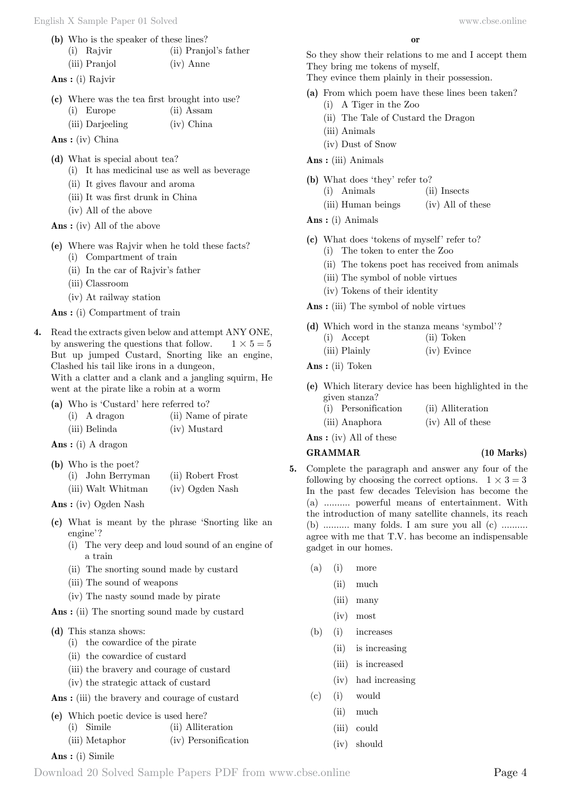- **(b)** Who is the speaker of these lines?
	- (i) Rajvir (ii) Pranjol's father (iii) Pranjol (iv) Anne
- **Ans :** (i) Rajvir

|  |                  | (c) Where was the tea first brought into use? |  |
|--|------------------|-----------------------------------------------|--|
|  | $(i)$ Europe     | $(ii)$ Assam                                  |  |
|  | (iii) Darjeeling | $(iv)$ China                                  |  |

 **Ans :** (iv) China

- **(d)** What is special about tea?
	- (i) It has medicinal use as well as beverage
	- (ii) It gives flavour and aroma
	- (iii) It was first drunk in China
	- (iv) All of the above
- **Ans :** (iv) All of the above

**(e)** Where was Rajvir when he told these facts?

- (i) Compartment of train
- (ii) In the car of Rajvir's father
- (iii) Classroom
- (iv) At railway station
- **Ans :** (i) Compartment of train
- **4.** Read the extracts given below and attempt ANY ONE, by answering the questions that follow.  $1 \times 5 = 5$ But up jumped Custard, Snorting like an engine, Clashed his tail like irons in a dungeon,

With a clatter and a clank and a jangling squirm, He went at the pirate like a robin at a worm

**(a)** Who is 'Custard' here referred to?

| $(i)$ A dragon | (ii) Name of pirate |
|----------------|---------------------|
| (iii) Belinda  | (iv) Mustard        |

 **Ans :** (i) A dragon

**(b)** Who is the poet?

| (i) John Berryman  | (ii) Robert Frost |
|--------------------|-------------------|
| (iii) Walt Whitman | (iv) Ogden Nash   |

 **Ans :** (iv) Ogden Nash

- **(c)** What is meant by the phrase 'Snorting like an engine'?
	- (i) The very deep and loud sound of an engine of a train
	- (ii) The snorting sound made by custard
	- (iii) The sound of weapons
	- (iv) The nasty sound made by pirate

 **Ans :** (ii) The snorting sound made by custard

#### **(d)** This stanza shows:

- (i) the cowardice of the pirate
- (ii) the cowardice of custard
- (iii) the bravery and courage of custard
- (iv) the strategic attack of custard

 **Ans :** (iii) the bravery and courage of custard

- **(e)** Which poetic device is used here?
	- (i) Simile (ii) Alliteration
		- (iii) Metaphor (iv) Personification
- **Ans :** (i) Simile

 **o**

So they show their relations to me and I accept them They bring me tokens of myself,

They evince them plainly in their possession.

- **(a)** From which poem have these lines been taken?
	- (i) A Tiger in the Zoo
	- (ii) The Tale of Custard the Dragon
	- (iii) Animals
		- (iv) Dust of Snow
- **Ans :** (iii) Animals
- **(b)** What does 'they' refer to?
	- (i) Animals (ii) Insects
	- (iii) Human beings (iv) All of these
- **Ans :** (i) Animals
- **(c)** What does 'tokens of myself' refer to?
	- (i) The token to enter the Zoo
	- (ii) The tokens poet has received from animals
	- (iii) The symbol of noble virtues
	- (iv) Tokens of their identity
- **Ans :** (iii) The symbol of noble virtues
- **(d)** Which word in the stanza means 'symbol'?
	- (i) Accept (ii) Token
	- (iii) Plainly (iv) Evince
- **Ans :** (ii) Token
- **(e)** Which literary device has been highlighted in the given stanza?
	- (i) Personification (ii) Alliteration
	- (iii) Anaphora (iv) All of these

 **Ans :** (iv) All of these

# **GRAMMAR (10 Marks)**

- **5.** Complete the paragraph and answer any four of the following by choosing the correct options.  $1 \times 3 = 3$ In the past few decades Television has become the (a) .......... powerful means of entertainment. With the introduction of many satellite channels, its reach (b) .......... many folds. I am sure you all (c) .......... agree with me that T.V. has become an indispensable gadget in our homes.
	- (a) (i) more
		- (ii) much
		- (iii) many
		- (iv) most
	- (b) (i) increases
		- (ii) is increasing
		- (iii) is increased
		- (iv) had increasing
	- (c) (i) would
		- (ii) much
		- (iii) could
		- (iv) should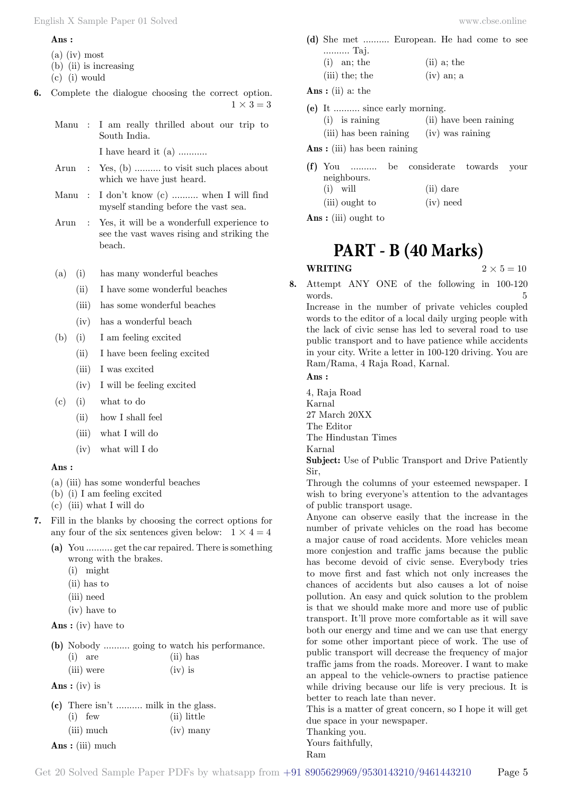#### **Ans :**

- (a) (iv) most
- (b) (ii) is increasing
- (c) (i) would
- **6.** Complete the dialogue choosing the correct option.  $1 \times 3 = 3$ 
	- Manu : I am really thrilled about our trip to South India. I have heard it (a) ...........
	- Arun : Yes, (b) .......... to visit such places about which we have just heard.
	- Manu : I don't know (c) .......... when I will find myself standing before the vast sea.
	- Arun : Yes, it will be a wonderfull experience to see the vast waves rising and striking the beach.
	- (a) (i) has many wonderful beaches
		- (ii) I have some wonderful beaches
		- (iii) has some wonderful beaches
		- (iv) has a wonderful beach
	- (b) (i) I am feeling excited
		- (ii) I have been feeling excited
		- (iii) I was excited
		- (iv) I will be feeling excited
	- (c) (i) what to do
		- (ii) how I shall feel
		- (iii) what I will do
		- (iv) what will I do

### **Ans :**

- (a) (iii) has some wonderful beaches
- (b) (i) I am feeling excited
- (c) (iii) what I will do
- **7.** Fill in the blanks by choosing the correct options for any four of the six sentences given below:  $1 \times 4 = 4$ 
	- **(a)** You .......... get the car repaired. There is something wrong with the brakes.
		- (i) might
		- (ii) has to
		- (iii) need
		- (iv) have to
	- **Ans :** (iv) have to

|           |            |            | (b) Nobody  going to watch his performance. |
|-----------|------------|------------|---------------------------------------------|
| $(i)$ are |            | $(ii)$ has |                                             |
|           | (iii) were | $(iv)$ is  |                                             |

 **Ans :** (iv) is

| (c) There isn't  milk in the glass. |             |
|-------------------------------------|-------------|
| $(i)$ few                           | (ii) little |
| (iii) much                          | $(iv)$ many |
| $\lambda$ $($ $)$ 1                 |             |

 **Ans :** (iii) much

- **(d)** She met .......... European. He had come to see .......... Taj.
	- (i) an; the  $(i)$  a; the  $(iii)$  the; the  $(iv)$  an; a
- **Ans :** (ii) a: the
- **(e)** It .......... since early morning.
	- (i) is raining (ii) have been raining
	- (iii) has been raining (iv) was raining
- **Ans :** (iii) has been raining
- **(f)** You .......... be considerate towards your neighbours. (i) will (ii) dare (iii) ought to (iv) need

 **Ans :** (iii) ought to

# **PART - B (40 Marks)**

- **WRITING**  $2 \times 5 = 10$
- **8.** Attempt ANY ONE of the following in 100-120 words. 5 Increase in the number of private vehicles coupled

words to the editor of a local daily urging people with the lack of civic sense has led to several road to use public transport and to have patience while accidents in your city. Write a letter in 100-120 driving. You are Ram/Rama, 4 Raja Road, Karnal.

### **Ans :**

4, Raja Road Karnal 27 March 20XX The Editor The Hindustan Times Karnal **Subject:** Use of Public Transport and Drive Patiently

Sir, Through the columns of your esteemed newspaper. I

wish to bring everyone's attention to the advantages of public transport usage.

Anyone can observe easily that the increase in the number of private vehicles on the road has become a major cause of road accidents. More vehicles mean more conjestion and traffic jams because the public has become devoid of civic sense. Everybody tries to move first and fast which not only increases the chances of accidents but also causes a lot of noise pollution. An easy and quick solution to the problem is that we should make more and more use of public transport. It'll prove more comfortable as it will save both our energy and time and we can use that energy for some other important piece of work. The use of public transport will decrease the frequency of major traffic jams from the roads. Moreover. I want to make an appeal to the vehicle-owners to practise patience while driving because our life is very precious. It is better to reach late than never.

This is a matter of great concern, so I hope it will get due space in your newspaper.

Thanking you.

Yours faithfully, Ram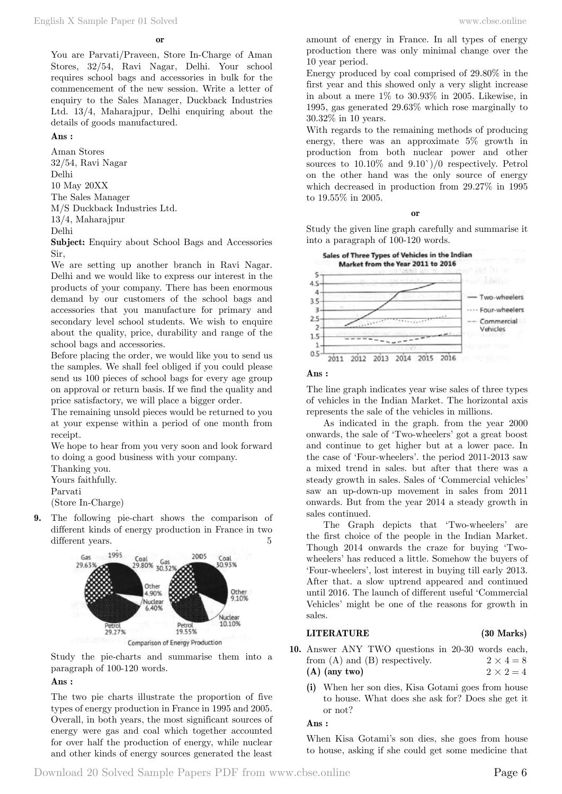You are Parvati/Praveen, Store In-Charge of Aman Stores, 32/54, Ravi Nagar, Delhi. Your school requires school bags and accessories in bulk for the commencement of the new session. Write a letter of enquiry to the Sales Manager, Duckback Industries Ltd. 13/4, Maharajpur, Delhi enquiring about the details of goods manufactured.

# **Ans :**

Aman Stores 32/54, Ravi Nagar Delhi 10 May 20XX The Sales Manager M/S Duckback Industries Ltd. 13/4, Maharajpur Delhi

**Subject:** Enquiry about School Bags and Accessories Sir,

We are setting up another branch in Ravi Nagar. Delhi and we would like to express our interest in the products of your company. There has been enormous demand by our customers of the school bags and accessories that you manufacture for primary and secondary level school students. We wish to enquire about the quality, price, durability and range of the school bags and accessories.

Before placing the order, we would like you to send us the samples. We shall feel obliged if you could please send us 100 pieces of school bags for every age group on approval or return basis. If we find the quality and price satisfactory, we will place a bigger order.

The remaining unsold pieces would be returned to you at your expense within a period of one month from receipt.

We hope to hear from you very soon and look forward to doing a good business with your company.

Thanking you.

Yours faithfully.

Parvati

(Store In-Charge)

**9.** The following pie-chart shows the comparison of different kinds of energy production in France in two different years. 5



Study the pie-charts and summarise them into a paragraph of 100-120 words.

# **Ans :**

The two pie charts illustrate the proportion of five types of energy production in France in 1995 and 2005. Overall, in both years, the most significant sources of energy were gas and coal which together accounted for over half the production of energy, while nuclear and other kinds of energy sources generated the least

amount of energy in France. In all types of energy production there was only minimal change over the 10 year period.

Energy produced by coal comprised of 29.80% in the first year and this showed only a very slight increase in about a mere 1% to 30.93% in 2005. Likewise, in 1995, gas generated 29.63% which rose marginally to 30.32% in 10 years.

With regards to the remaining methods of producing energy, there was an approximate 5% growth in production from both nuclear power and other sources to 10.10% and 9.10`)/0 respectively. Petrol on the other hand was the only source of energy which decreased in production from 29.27% in 1995 to 19.55% in 2005.

#### **o**

Study the given line graph carefully and summarise it into a paragraph of 100-120 words.



# **Ans :**

The line graph indicates year wise sales of three types of vehicles in the Indian Market. The horizontal axis represents the sale of the vehicles in millions.

As indicated in the graph. from the year 2000 onwards, the sale of 'Two-wheelers' got a great boost and continue to get higher but at a lower pace. In the case of 'Four-wheelers'. the period 2011-2013 saw a mixed trend in sales. but after that there was a steady growth in sales. Sales of 'Commercial vehicles' saw an up-down-up movement in sales from 2011 onwards. But from the year 2014 a steady growth in sales continued.

The Graph depicts that 'Two-wheelers' are the first choice of the people in the Indian Market. Though 2014 onwards the craze for buying 'Twowheelers' has reduced a little. Somehow the buyers of 'Four-wheelers', lost interest in buying till early 2013. After that. a slow uptrend appeared and continued until 2016. The launch of different useful 'Commercial Vehicles' might be one of the reasons for growth in sales.

# **LITERATURE (30 Marks)**

- **10.** Answer ANY TWO questions in 20-30 words each, from (A) and (B) respectively.  $2 \times 4 = 8$ **(A)** (any two)  $2 \times 2 = 4$ 
	- **(i)** When her son dies, Kisa Gotami goes from house to house. What does she ask for? Does she get it or not?

#### **Ans :**

When Kisa Gotami's son dies, she goes from house to house, asking if she could get some medicine that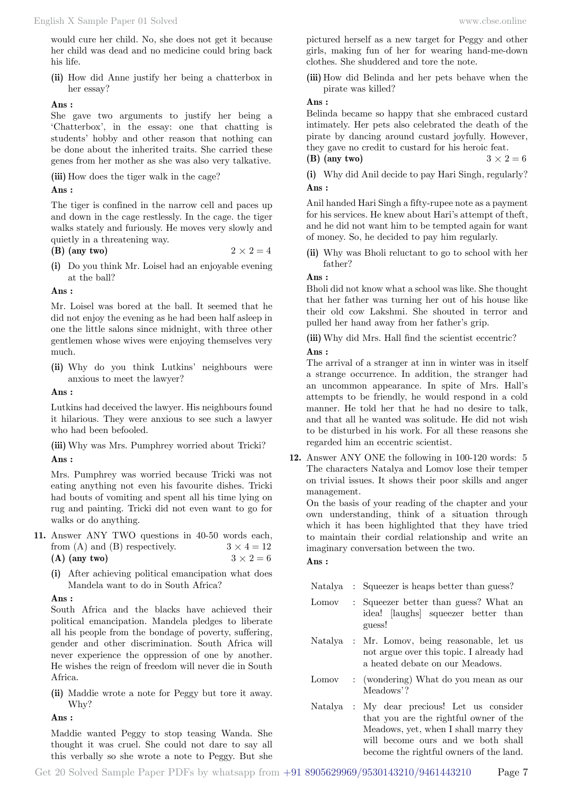would cure her child. No, she does not get it because her child was dead and no medicine could bring back his life.

**(ii)** How did Anne justify her being a chatterbox in her essay?

# **Ans :**

She gave two arguments to justify her being a 'Chatterbox', in the essay: one that chatting is students' hobby and other reason that nothing can be done about the inherited traits. She carried these genes from her mother as she was also very talkative.

**(iii)** How does the tiger walk in the cage?

# **Ans :**

The tiger is confined in the narrow cell and paces up and down in the cage restlessly. In the cage. the tiger walks stately and furiously. He moves very slowly and quietly in a threatening way.

(B) (any two) 
$$
2 \times 2 = 4
$$

**(i)** Do you think Mr. Loisel had an enjoyable evening at the ball?

# **Ans :**

Mr. Loisel was bored at the ball. It seemed that he did not enjoy the evening as he had been half asleep in one the little salons since midnight, with three other gentlemen whose wives were enjoying themselves very much.

**(ii)** Why do you think Lutkins' neighbours were anxious to meet the lawyer?

 **Ans :**

Lutkins had deceived the lawyer. His neighbours found it hilarious. They were anxious to see such a lawyer who had been befooled.

**(iii)** Why was Mrs. Pumphrey worried about Tricki?  **Ans :**

Mrs. Pumphrey was worried because Tricki was not eating anything not even his favourite dishes. Tricki had bouts of vomiting and spent all his time lying on rug and painting. Tricki did not even want to go for walks or do anything.

- **11.** Answer ANY TWO questions in 40-50 words each, from (A) and (B) respectively.  $3 \times 4 = 12$ (A) (any two)  $3 \times 2 = 6$ 
	- **(i)** After achieving political emancipation what does Mandela want to do in South Africa?

# **Ans :**

South Africa and the blacks have achieved their political emancipation. Mandela pledges to liberate all his people from the bondage of poverty, suffering, gender and other discrimination. South Africa will never experience the oppression of one by another. He wishes the reign of freedom will never die in South Africa.

**(ii)** Maddie wrote a note for Peggy but tore it away. Why?

 **Ans :**

Maddie wanted Peggy to stop teasing Wanda. She thought it was cruel. She could not dare to say all this verbally so she wrote a note to Peggy. But she

pictured herself as a new target for Peggy and other girls, making fun of her for wearing hand-me-down clothes. She shuddered and tore the note.

**(iii)** How did Belinda and her pets behave when the pirate was killed?

# **Ans :**

Belinda became so happy that she embraced custard intimately. Her pets also celebrated the death of the pirate by dancing around custard joyfully. However, they gave no credit to custard for his heroic feat.

- **(B)** (any two)  $3 \times 2 = 6$
- **(i)** Why did Anil decide to pay Hari Singh, regularly?  **Ans :**

Anil handed Hari Singh a fifty-rupee note as a payment for his services. He knew about Hari's attempt of theft, and he did not want him to be tempted again for want of money. So, he decided to pay him regularly.

**(ii)** Why was Bholi reluctant to go to school with her father?

# **Ans :**

Bholi did not know what a school was like. She thought that her father was turning her out of his house like their old cow Lakshmi. She shouted in terror and pulled her hand away from her father's grip.

**(iii)** Why did Mrs. Hall find the scientist eccentric?

# **Ans :**

The arrival of a stranger at inn in winter was in itself a strange occurrence. In addition, the stranger had an uncommon appearance. In spite of Mrs. Hall's attempts to be friendly, he would respond in a cold manner. He told her that he had no desire to talk, and that all he wanted was solitude. He did not wish to be disturbed in his work. For all these reasons she regarded him an eccentric scientist.

**12.** Answer ANY ONE the following in 100-120 words: 5 The characters Natalya and Lomov lose their temper on trivial issues. It shows their poor skills and anger management.

On the basis of your reading of the chapter and your own understanding, think of a situation through which it has been highlighted that they have tried to maintain their cordial relationship and write an imaginary conversation between the two.

# **Ans :**

- Natalya : Squeezer is heaps better than guess?
- Lomov : Squeezer better than guess? What an idea! [laughs] squeezer better than guess!
- Natalya : Mr. Lomov, being reasonable, let us not argue over this topic. I already had a heated debate on our Meadows.
- Lomov : (wondering) What do you mean as our Meadows'?
- Natalya : My dear precious! Let us consider that you are the rightful owner of the Meadows, yet, when I shall marry they will become ours and we both shall become the rightful owners of the land.